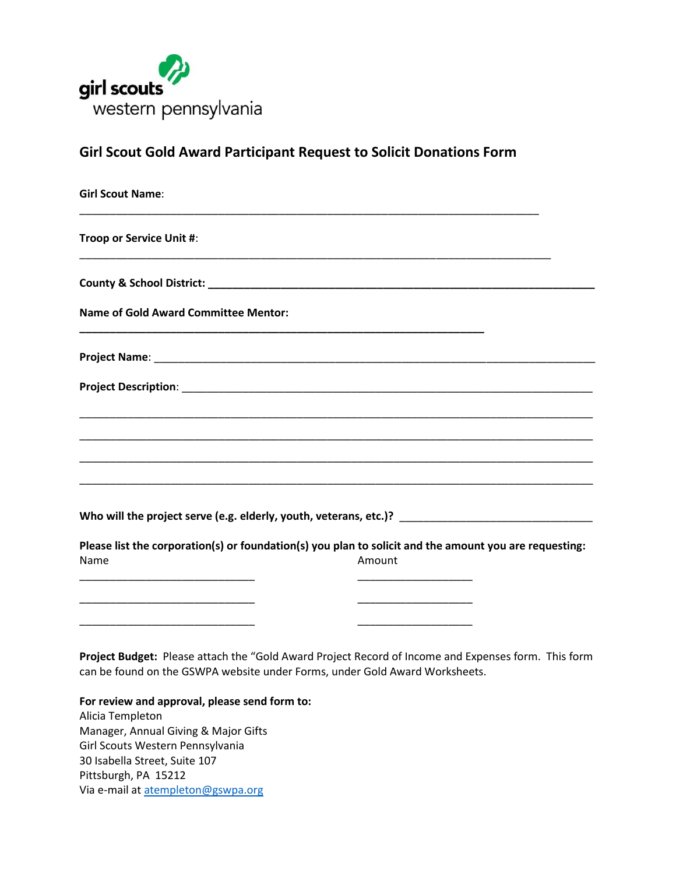

**Girl Scout Gold Award Participant Request to Solicit Donations Form**

| <b>Girl Scout Name:</b>                     |                                                                                                                    |
|---------------------------------------------|--------------------------------------------------------------------------------------------------------------------|
| Troop or Service Unit #:                    |                                                                                                                    |
|                                             |                                                                                                                    |
| <b>Name of Gold Award Committee Mentor:</b> |                                                                                                                    |
|                                             |                                                                                                                    |
|                                             |                                                                                                                    |
|                                             |                                                                                                                    |
|                                             |                                                                                                                    |
|                                             | <u> 1980 - Jan James James James James James James James James James James James James James James James James</u> |
|                                             |                                                                                                                    |
|                                             | Please list the corporation(s) or foundation(s) you plan to solicit and the amount you are requesting:             |
| Name                                        | Amount                                                                                                             |
|                                             |                                                                                                                    |
|                                             |                                                                                                                    |
|                                             |                                                                                                                    |

**Project Budget:** Please attach the "Gold Award Project Record of Income and Expenses form. This form can be found on the GSWPA website under Forms, under Gold Award Worksheets.

**For review and approval, please send form to:** Alicia Templeton Manager, Annual Giving & Major Gifts Girl Scouts Western Pennsylvania 30 Isabella Street, Suite 107 Pittsburgh, PA 15212 Via e-mail a[t atempleton@gswpa.org](mailto:atempleton@gswpa.org)